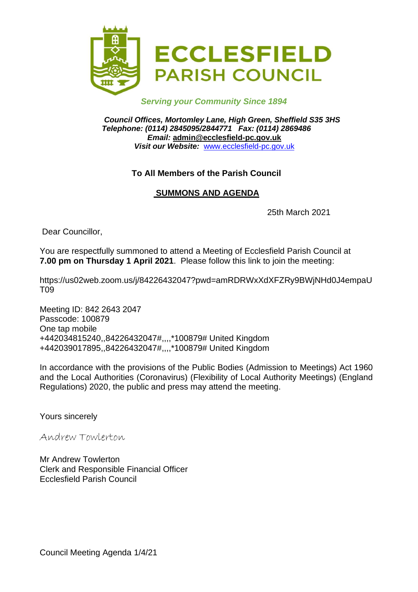

## *Serving your Community Since 1894*

*Council Offices, Mortomley Lane, High Green, Sheffield S35 3HS Telephone: (0114) 2845095/2844771 Fax: (0114) 2869486 Email:* **admin@ecclesfield-pc.gov.uk** *Visit our Website:* [www.ecclesfield-pc.gov.uk](http://www.ecclesfield-pc.gov.uk/)

## **To All Members of the Parish Council**

# **SUMMONS AND AGENDA**

25th March 2021

Dear Councillor,

You are respectfully summoned to attend a Meeting of Ecclesfield Parish Council at **7.00 pm on Thursday 1 April 2021**. Please follow this link to join the meeting:

https://us02web.zoom.us/j/84226432047?pwd=amRDRWxXdXFZRy9BWjNHd0J4empaU T09

Meeting ID: 842 2643 2047 Passcode: 100879 One tap mobile +442034815240,,84226432047#,,,,\*100879# United Kingdom +442039017895,,84226432047#,,,,\*100879# United Kingdom

In accordance with the provisions of the Public Bodies (Admission to Meetings) Act 1960 and the Local Authorities (Coronavirus) (Flexibility of Local Authority Meetings) (England Regulations) 2020, the public and press may attend the meeting.

Yours sincerely

Andrew Towlerton

Mr Andrew Towlerton Clerk and Responsible Financial Officer Ecclesfield Parish Council

Council Meeting Agenda 1/4/21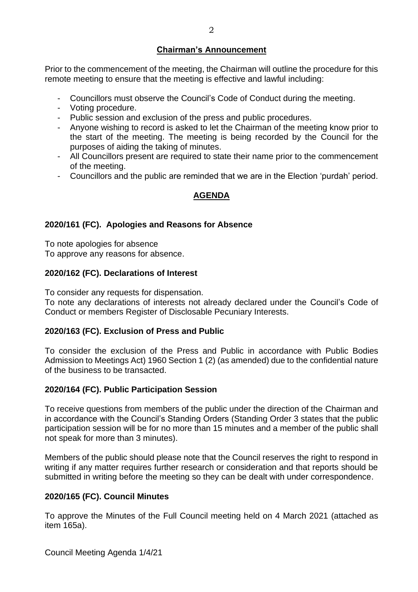## **Chairman's Announcement**

Prior to the commencement of the meeting, the Chairman will outline the procedure for this remote meeting to ensure that the meeting is effective and lawful including:

- Councillors must observe the Council's Code of Conduct during the meeting.
- Voting procedure.
- Public session and exclusion of the press and public procedures.
- Anyone wishing to record is asked to let the Chairman of the meeting know prior to the start of the meeting. The meeting is being recorded by the Council for the purposes of aiding the taking of minutes.
- All Councillors present are required to state their name prior to the commencement of the meeting.
- Councillors and the public are reminded that we are in the Election 'purdah' period.

# **AGENDA**

## **2020/161 (FC). Apologies and Reasons for Absence**

To note apologies for absence To approve any reasons for absence.

## **2020/162 (FC). Declarations of Interest**

To consider any requests for dispensation.

To note any declarations of interests not already declared under the Council's Code of Conduct or members Register of Disclosable Pecuniary Interests.

#### **2020/163 (FC). Exclusion of Press and Public**

To consider the exclusion of the Press and Public in accordance with Public Bodies Admission to Meetings Act) 1960 Section 1 (2) (as amended) due to the confidential nature of the business to be transacted.

#### **2020/164 (FC). Public Participation Session**

To receive questions from members of the public under the direction of the Chairman and in accordance with the Council's Standing Orders (Standing Order 3 states that the public participation session will be for no more than 15 minutes and a member of the public shall not speak for more than 3 minutes).

Members of the public should please note that the Council reserves the right to respond in writing if any matter requires further research or consideration and that reports should be submitted in writing before the meeting so they can be dealt with under correspondence.

# **2020/165 (FC). Council Minutes**

To approve the Minutes of the Full Council meeting held on 4 March 2021 (attached as item 165a).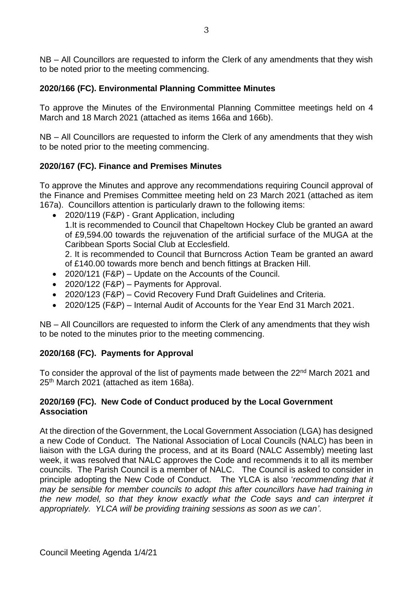NB – All Councillors are requested to inform the Clerk of any amendments that they wish to be noted prior to the meeting commencing.

# **2020/166 (FC). Environmental Planning Committee Minutes**

To approve the Minutes of the Environmental Planning Committee meetings held on 4 March and 18 March 2021 (attached as items 166a and 166b).

NB – All Councillors are requested to inform the Clerk of any amendments that they wish to be noted prior to the meeting commencing.

# **2020/167 (FC). Finance and Premises Minutes**

To approve the Minutes and approve any recommendations requiring Council approval of the Finance and Premises Committee meeting held on 23 March 2021 (attached as item 167a).Councillors attention is particularly drawn to the following items:

- 2020/119 (F&P) Grant Application, including 1.It is recommended to Council that Chapeltown Hockey Club be granted an award of £9,594.00 towards the rejuvenation of the artificial surface of the MUGA at the Caribbean Sports Social Club at Ecclesfield. 2. It is recommended to Council that Burncross Action Team be granted an award of £140.00 towards more bench and bench fittings at Bracken Hill.
- 2020/121 (F&P) Update on the Accounts of the Council.
- 2020/122 (F&P) Payments for Approval.
- 2020/123 (F&P) Covid Recovery Fund Draft Guidelines and Criteria.
- 2020/125 (F&P) Internal Audit of Accounts for the Year End 31 March 2021.

NB – All Councillors are requested to inform the Clerk of any amendments that they wish to be noted to the minutes prior to the meeting commencing.

# **2020/168 (FC). Payments for Approval**

To consider the approval of the list of payments made between the 22<sup>nd</sup> March 2021 and 25th March 2021 (attached as item 168a).

## **2020/169 (FC). New Code of Conduct produced by the Local Government Association**

At the direction of the Government, the Local Government Association (LGA) has designed a new Code of Conduct. The National Association of Local Councils (NALC) has been in liaison with the LGA during the process, and at its Board (NALC Assembly) meeting last week, it was resolved that NALC approves the Code and recommends it to all its member councils. The Parish Council is a member of NALC. The Council is asked to consider in principle adopting the New Code of Conduct. The YLCA is also '*recommending that it may be sensible for member councils to adopt this after councillors have had training in the new model, so that they know exactly what the Code says and can interpret it appropriately. YLCA will be providing training sessions as soon as we can'*.